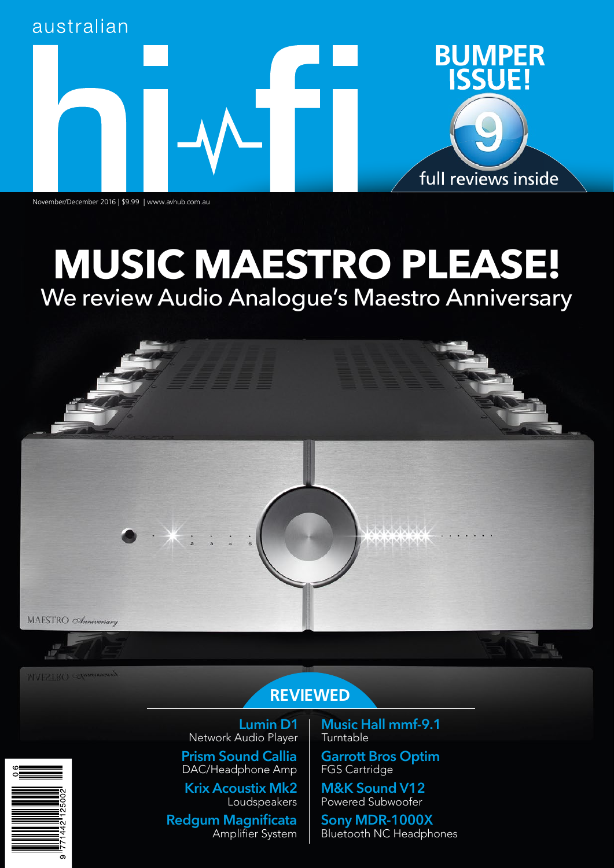

November/December 2016 | \$9.99 | www.avhub.com.au

# **MUSIC MAESTRO PLEASE!** We review Audio Analogue's Maestro Anniversary



**MAESTRO** COmmission

## **REVIEWED**

**Lumin D1** Network Audio Player **Prism Sound Callia** DAC/Headphone Amp

**Krix Acoustix Mk2** Loudspeakers

**Redgum Magnificata** Amplifier System **Music Hall mmf-9.1** Turntable

**Garrott Bros Optim** FGS Cartridge

**M&K Sound V12** Powered Subwoofer

**Sony MDR-1000X** Bluetooth NC Headphones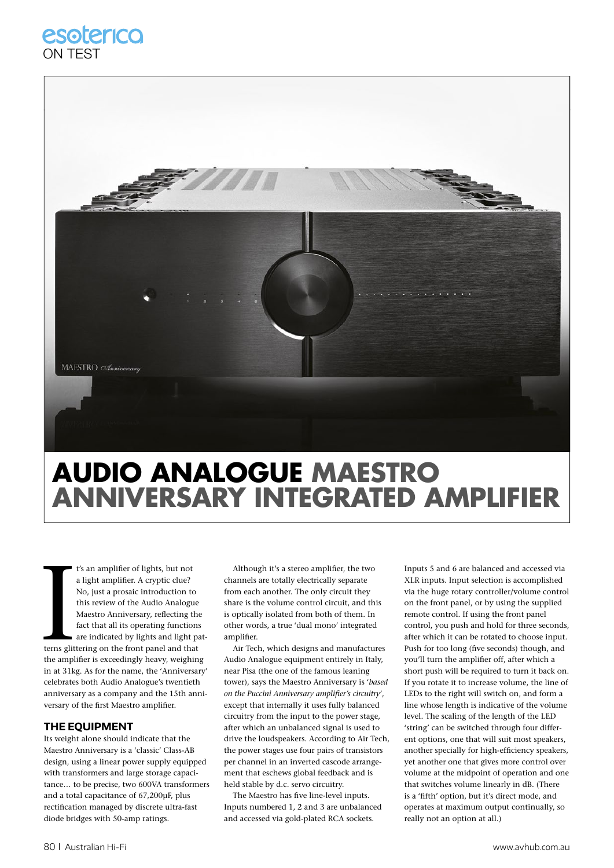### esoterico ON TEST



## **AUDIO ANALOGUE MAESTRO ANNIVERSARY INTEGRATED AMPLIFIER**

**ICON**<br>Interns glit<br>the ample t's an amplifier of lights, but not a light amplifier. A cryptic clue? No, just a prosaic introduction to this review of the Audio Analogue Maestro Anniversary, reflecting the fact that all its operating functions are indicated by lights and light patterns glittering on the front panel and that the amplifier is exceedingly heavy, weighing in at 31kg. As for the name, the 'Anniversary' celebrates both Audio Analogue's twentieth anniversary as a company and the 15th anniversary of the first Maestro amplifier.

#### **THE EQUIPMENT**

Its weight alone should indicate that the Maestro Anniversary is a 'classic' Class-AB design, using a linear power supply equipped with transformers and large storage capacitance… to be precise, two 600VA transformers and a total capacitance of 67,200μF, plus rectification managed by discrete ultra-fast diode bridges with 50-amp ratings.

Although it's a stereo amplifier, the two channels are totally electrically separate from each another. The only circuit they share is the volume control circuit, and this is optically isolated from both of them. In other words, a true 'dual mono' integrated amplifier.

Air Tech, which designs and manufactures Audio Analogue equipment entirely in Italy, near Pisa (the one of the famous leaning tower), says the Maestro Anniversary is '*based*  on the Puccini Anniversary amplifier's circuitry', except that internally it uses fully balanced circuitry from the input to the power stage, after which an unbalanced signal is used to drive the loudspeakers. According to Air Tech, the power stages use four pairs of transistors per channel in an inverted cascode arrangement that eschews global feedback and is held stable by d.c. servo circuitry.

The Maestro has five line-level inputs. Inputs numbered 1, 2 and 3 are unbalanced and accessed via gold-plated RCA sockets.

Inputs 5 and 6 are balanced and accessed via XLR inputs. Input selection is accomplished via the huge rotary controller/volume control on the front panel, or by using the supplied remote control. If using the front panel control, you push and hold for three seconds, after which it can be rotated to choose input. Push for too long (five seconds) though, and you'll turn the amplifier off, after which a short push will be required to turn it back on. If you rotate it to increase volume, the line of LEDs to the right will switch on, and form a line whose length is indicative of the volume level. The scaling of the length of the LED 'string' can be switched through four different options, one that will suit most speakers, another specially for high-efficiency speakers, yet another one that gives more control over volume at the midpoint of operation and one that switches volume linearly in dB. (There is a 'fifth' option, but it's direct mode, and operates at maximum output continually, so really not an option at all.)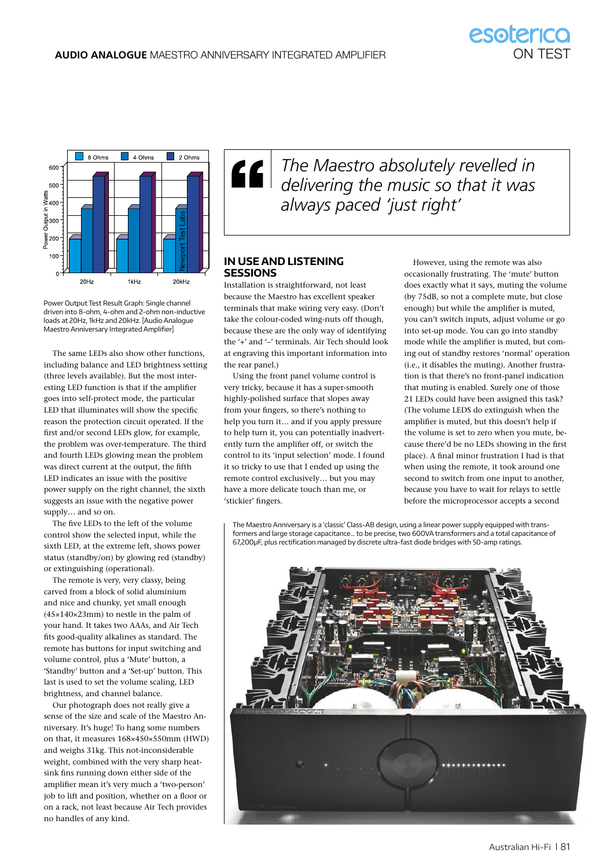

*The Maestro absolutely revelled in delivering the music so that it was always paced 'just right'* 

#### **In Use and LIstenIng sessIons**

Installation is straightforward, not least because the Maestro has excellent speaker terminals that make wiring very easy. (Don't take the colour-coded wing-nuts off though, because these are the only way of identifying the '+' and '–' terminals. Air Tech should look at engraving this important information into the rear panel.)

Using the front panel volume control is very tricky, because it has a super-smooth highly-polished surface that slopes away from your fingers, so there's nothing to help you turn it… and if you apply pressure to help turn it, you can potentially inadvertently turn the amplifier off, or switch the control to its 'input selection' mode. I found it so tricky to use that I ended up using the remote control exclusively… but you may have a more delicate touch than me, or 'stickier' fingers.

However, using the remote was also occasionally frustrating. The 'mute' button does exactly what it says, muting the volume (by 75dB, so not a complete mute, but close enough) but while the amplifier is muted, you can't switch inputs, adjust volume or go into set-up mode. You can go into standby mode while the amplifier is muted, but coming out of standby restores 'normal' operation (i.e., it disables the muting). Another frustration is that there's no front-panel indication that muting is enabled. Surely one of those 21 LEDs could have been assigned this task? (The volume LEDS do extinguish when the amplifier is muted, but this doesn't help if the volume is set to zero when you mute, because there'd be no LEDs showing in the first place). A final minor frustration I had is that when using the remote, it took around one second to switch from one input to another, because you have to wait for relays to settle before the microprocessor accepts a second

The Maestro Anniversary is a 'classic' Class-AB design, using a linear power supply equipped with transformers and large storage capacitance… to be precise, two 600VA transformers and a total capacitance of 67,200μF, plus rectification managed by discrete ultra-fast diode bridges with 50-amp ratings.



Power Output Test Result Graph: Single channel driven into 8-ohm, 4-ohm and 2-ohm non-inductive loads at 20Hz, 1kHz and 20kHz. [Audio Analogue Maestro Anniversary Integrated Amplifier]

The same LEDs also show other functions, including balance and LED brightness setting (three levels available). But the most interesting LED function is that if the amplifier goes into self-protect mode, the particular LED that illuminates will show the specific reason the protection circuit operated. If the first and/or second LEDs glow, for example, the problem was over-temperature. The third and fourth LEDs glowing mean the problem was direct current at the output, the fifth LED indicates an issue with the positive power supply on the right channel, the sixth suggests an issue with the negative power supply… and so on.

The five LEDs to the left of the volume control show the selected input, while the sixth LED, at the extreme left, shows power status (standby/on) by glowing red (standby) or extinguishing (operational).

The remote is very, very classy, being carved from a block of solid aluminium and nice and chunky, yet small enough (45×140×23mm) to nestle in the palm of your hand. It takes two AAAs, and Air Tech fits good-quality alkalines as standard. The remote has buttons for input switching and volume control, plus a 'Mute' button, a 'Standby' button and a 'Set-up' button. This last is used to set the volume scaling, LED brightness, and channel balance.

Our photograph does not really give a sense of the size and scale of the Maestro Anniversary. It's huge! To hang some numbers on that, it measures 168×450×550mm (HWD) and weighs 31kg. This not-inconsiderable weight, combined with the very sharp heatsink fins running down either side of the amplifier mean it's very much a 'two-person' job to lift and position, whether on a floor or on a rack, not least because Air Tech provides no handles of any kind.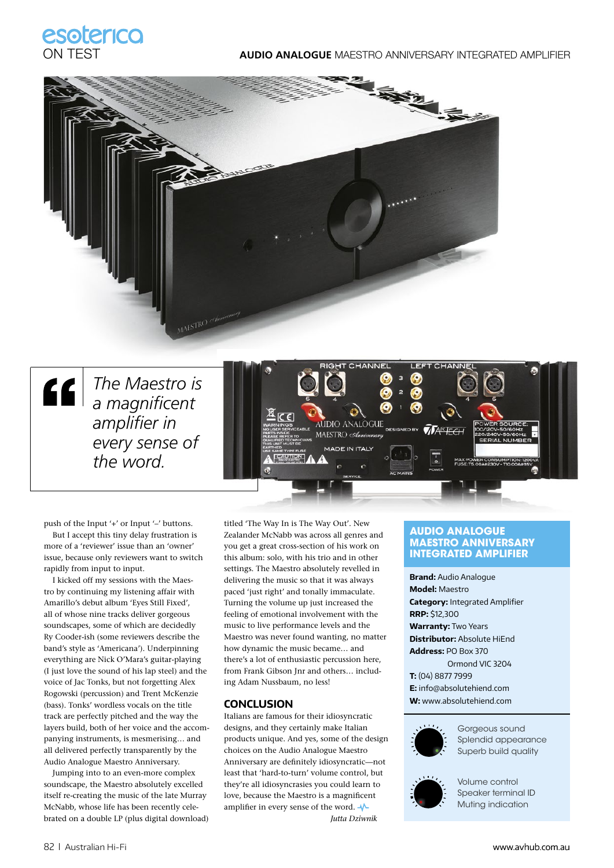

#### ON TEST **AUDIO ANALOGUE** MAESTRO ANNIVERSARY INTEGRATED AMPLIFIER



*The Maestro is a magnifi cent amplifier in every sense of the word.* 



push of the Input '+' or Input '-' buttons. But I accept this tiny delay frustration is more of a 'reviewer' issue than an 'owner' issue, because only reviewers want to switch rapidly from input to input.

I kicked off my sessions with the Maestro by continuing my listening affair with Amarillo's debut album 'Eyes Still Fixed', all of whose nine tracks deliver gorgeous soundscapes, some of which are decidedly Ry Cooder-ish (some reviewers describe the band's style as 'Americana'). Underpinning everything are Nick O'Mara's guitar-playing (I just love the sound of his lap steel) and the voice of Jac Tonks, but not forgetting Alex Rogowski (percussion) and Trent McKenzie (bass). Tonks' wordless vocals on the title track are perfectly pitched and the way the layers build, both of her voice and the accompanying instruments, is mesmerising… and all delivered perfectly transparently by the Audio Analogue Maestro Anniversary.

Jumping into to an even-more complex soundscape, the Maestro absolutely excelled itself re-creating the music of the late Murray McNabb, whose life has been recently celebrated on a double LP (plus digital download)

titled 'The Way In is The Way Out'. New Zealander McNabb was across all genres and you get a great cross-section of his work on this album: solo, with his trio and in other settings. The Maestro absolutely revelled in delivering the music so that it was always paced 'just right' and tonally immaculate. Turning the volume up just increased the feeling of emotional involvement with the music to live performance levels and the Maestro was never found wanting, no matter how dynamic the music became… and there's a lot of enthusiastic percussion here, from Frank Gibson Jnr and others… including Adam Nussbaum, no less!

#### **CONCLUSION**

Italians are famous for their idiosyncratic designs, and they certainly make Italian products unique. And yes, some of the design choices on the Audio Analogue Maestro Anniversary are definitely idiosyncratic-not least that 'hard-to-turn' volume control, but they're all idiosyncrasies you could learn to love, because the Maestro is a magnificent amplifier in every sense of the word.  $\sqrt{\ }$ *Jutta Dziwnik*

#### **AUDIO ANALOGUE MAESTRO ANNIVERSARY INTEGRATED AMPLIFIER**

**Brand:** Audio Analogue **Model:** Maestro **Category: Integrated Amplifier RRP:** \$12,300 **Warranty:** Two Years **Distributor:** Absolute HiEnd **Address:** PO Box 370 Ormond VIC 3204 **T:** (04) 8877 7999 **E:** info@absolutehiend.com **W:** www.absolutehiend.com



Gorgeous sound Splendid appearance Superb build quality



Volume control Speaker terminal ID Muting indication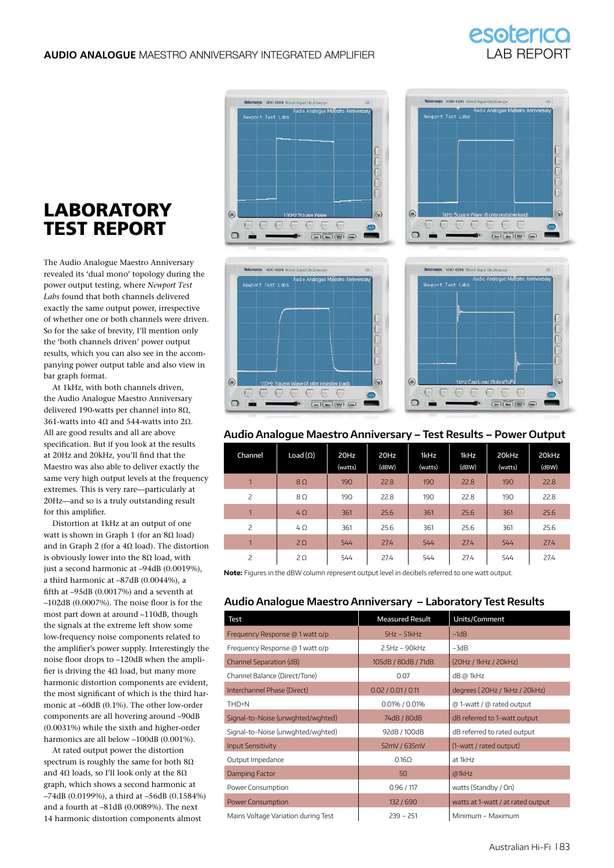

## **LABORATORY** TEST REPORT

The Audio Analogue Maestro Anniversary revealed its 'dual mono' topology during the power output testing, where *Newport Test Labs* found that both channels delivered exactly the same output power, irrespective of whether one or both channels were driven. So for the sake of brevity, I'll mention only the 'both channels driven' power output results, which you can also see in the accompanying power output table and also view in bar graph format.

At 1kHz, with both channels driven, the Audio Analogue Maestro Anniversary delivered 190-watts per channel into 8Ω, 361-watts into 4Ω and 544-watts into 2Ω. All are good results and all are above specification. But if you look at the results at 20Hz and 20kHz, you'll find that the Maestro was also able to deliver exactly the same very high output levels at the frequency extremes. This is very rare—particularly at 20Hz—and so is a truly outstanding result for this amplifier.

Distortion at 1kHz at an output of one watt is shown in Graph 1 (for an 8Ω load) and in Graph 2 (for a 4Ω load). The distortion is obviously lower into the  $8\Omega$  load, with just a second harmonic at –94dB (0.0019%), a third harmonic at –87dB (0.0044%), a fifth at  $-95$ dB (0.0017%) and a seventh at  $-102$ dB (0.0007%). The noise floor is for the most part down at around –110dB, though the signals at the extreme left show some low-frequency noise components related to the amplifier's power supply. Interestingly the noise floor drops to -120dB when the amplifier is driving the 4 $\Omega$  load, but many more harmonic distortion components are evident, the most significant of which is the third harmonic at –60dB (0.1%). The other low-order components are all hovering around –90dB (0.0031%) while the sixth and higher-order harmonics are all below –100dB (0.001%).

At rated output power the distortion spectrum is roughly the same for both  $8\Omega$ and 4Ω loads, so I'll look only at the  $8Ω$ graph, which shows a second harmonic at –74dB (0.0199%), a third at –56dB (0.1584%) and a fourth at –81dB (0.0089%). The next 14 harmonic distortion components almost









#### **Audio Analogue Maestro Anniversary – Test Results – Power Output**

| Channel        | Load $(\Omega)$ | 20Hz<br>(watts) | 20Hz<br>(dBW) | 1kHz<br>(watts) | 1kHz<br>(dBW) | 20kHz<br>(watts) | 20kHz<br>(dBW) |
|----------------|-----------------|-----------------|---------------|-----------------|---------------|------------------|----------------|
| $\overline{ }$ | $8\Omega$       | 190             | 22.8          | 190             | 22.8          | 190              | 22.8           |
| 2              | $8\Omega$       | 190             | 22.8          | 190             | 22.8          | 190              | 22.8           |
| $\overline{1}$ | $4\Omega$       | 361             | 25.6          | 361             | 25.6          | 361              | 25.6           |
| 2              | $4\Omega$       | 361             | 25.6          | 361             | 25.6          | 361              | 25.6           |
| $\overline{1}$ | $2\Omega$       | 544             | 27.4          | 544             | 27.4          | 544              | 27.4           |
| 2              | $2\Omega$       | 544             | 27.4          | 544             | 27.4          | 544              | 27.4           |

**Note:** Figures in the dBW column represent output level in decibels referred to one watt output.

#### **Audio Analogue Maestro Anniversary – Laboratory Test Results**

| Test                                | <b>Measured Result</b> | Units/Comment                     |  |
|-------------------------------------|------------------------|-----------------------------------|--|
| Frequency Response @ 1 watt o/p     | $5Hz - 51kHz$          | $-1dB$                            |  |
| Frequency Response @ 1 watt o/p     | $25Hz - 90kHz$         | $-3dB$                            |  |
| Channel Separation (dB)             | 105dB / 80dB / 71dB    | (20Hz / 1kHz / 20kHz)             |  |
| Channel Balance (Direct/Tone)       | 0.07                   | dB @ 1kHz                         |  |
| Interchannel Phase (Direct)         | 0.02 / 0.01 / 0.11     | degrees (20Hz / 1kHz / 20kHz)     |  |
| THD+N                               | 0.01% / 0.01%          | @ 1-watt / @ rated output         |  |
| Signal-to-Noise (unwghted/wghted)   | 74dB / 80dB            | dB referred to 1-watt output      |  |
| Signal-to-Noise (unwghted/wghted)   | 92dB / 100dB           | dB referred to rated output       |  |
| <b>Input Sensitivity</b>            | 52mV / 635mV           | (1-watt / rated output)           |  |
| Output Impedance                    | $0.16\Omega$           | at 1kHz                           |  |
| Damping Factor                      | 50                     | @1kHz                             |  |
| Power Consumption                   | 0.96/117               | watts (Standby / On)              |  |
| <b>Power Consumption</b>            | 132/690                | watts at 1-watt / at rated output |  |
| Mains Voltage Variation during Test | $239 - 251$            | Minimum - Maximum                 |  |